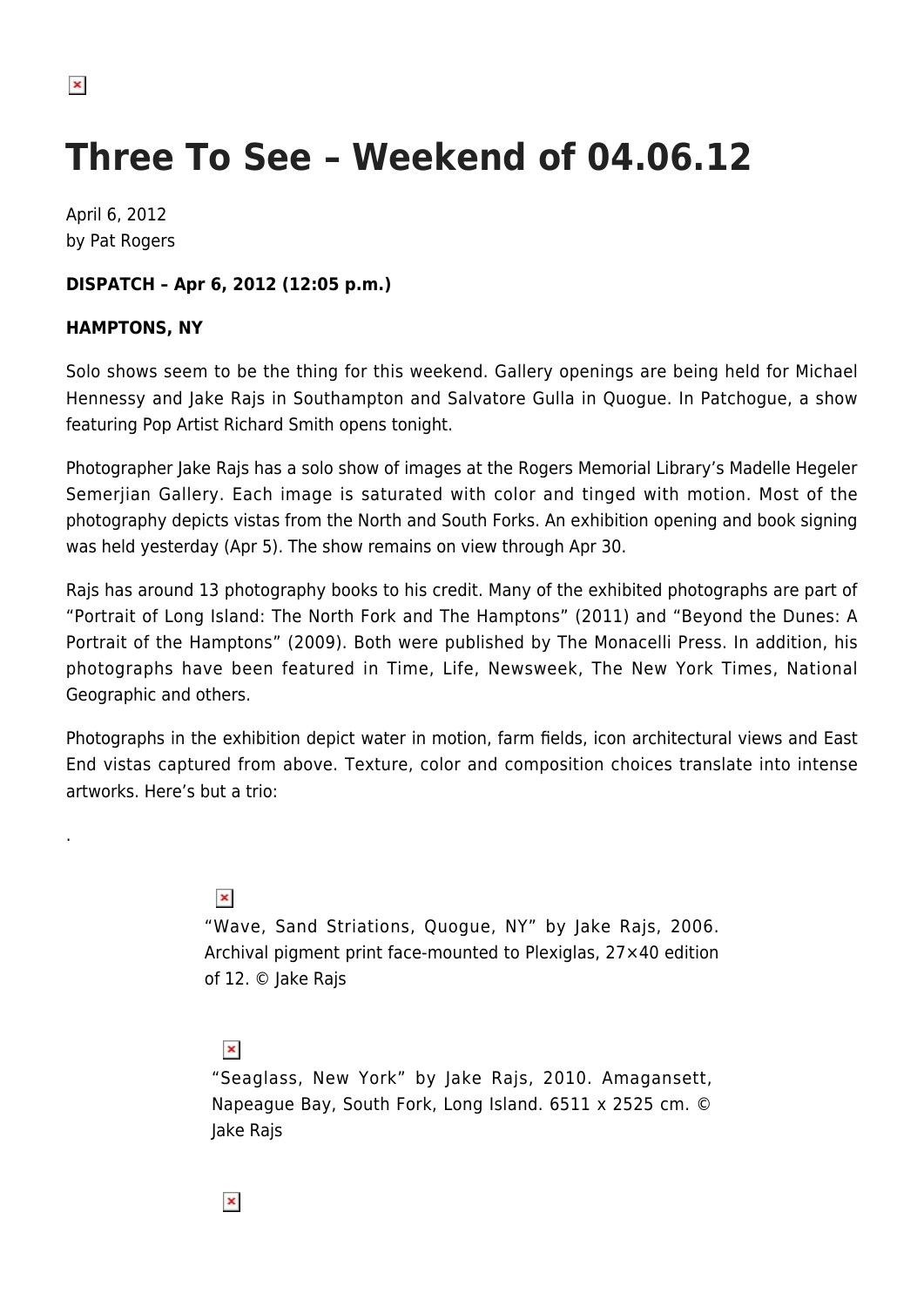.

# **Three To See – Weekend of 04.06.12**

April 6, 2012 by Pat Rogers

### **DISPATCH – Apr 6, 2012 (12:05 p.m.)**

#### **HAMPTONS, NY**

Solo shows seem to be the thing for this weekend. Gallery openings are being held for Michael Hennessy and Jake Rajs in Southampton and Salvatore Gulla in Quogue. In Patchogue, a show featuring Pop Artist Richard Smith opens tonight.

Photographer Jake Rajs has a solo show of images at the Rogers Memorial Library's Madelle Hegeler Semerjian Gallery. Each image is saturated with color and tinged with motion. Most of the photography depicts vistas from the North and South Forks. An exhibition opening and book signing was held yesterday (Apr 5). The show remains on view through Apr 30.

Rajs has around 13 photography books to his credit. Many of the exhibited photographs are part of "Portrait of Long Island: The North Fork and The Hamptons" (2011) and "Beyond the Dunes: A Portrait of the Hamptons" (2009). Both were published by The Monacelli Press. In addition, his photographs have been featured in Time, Life, Newsweek, The New York Times, National Geographic and others.

Photographs in the exhibition depict water in motion, farm fields, icon architectural views and East End vistas captured from above. Texture, color and composition choices translate into intense artworks. Here's but a trio:

## $\pmb{\times}$

"Wave, Sand Striations, Quogue, NY" by Jake Rajs, 2006. Archival pigment print face-mounted to Plexiglas, 27×40 edition of 12. © Jake Rajs

## $\pmb{\times}$

"Seaglass, New York" by Jake Rajs, 2010. Amagansett, Napeague Bay, South Fork, Long Island. 6511 x 2525 cm. © Jake Rajs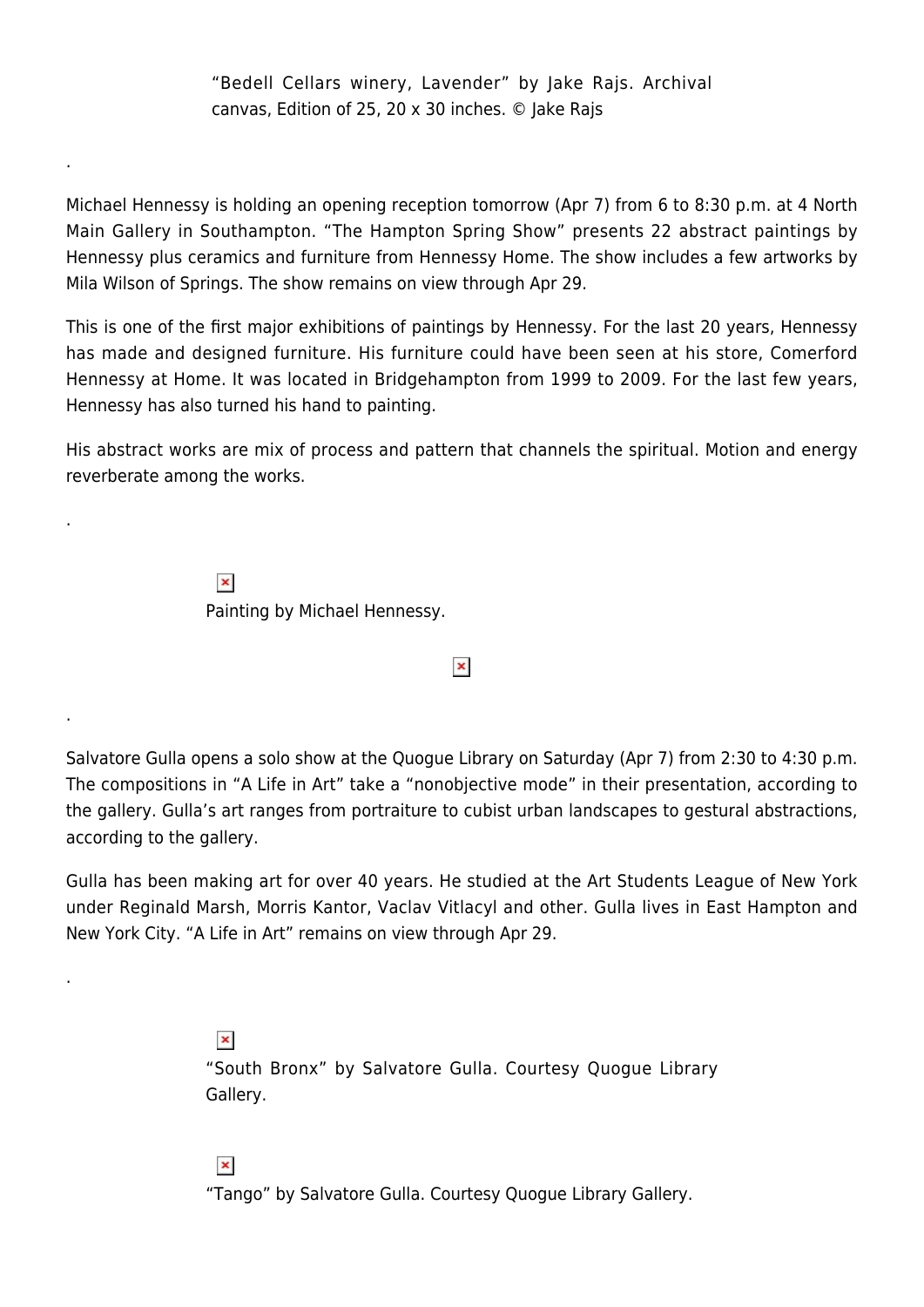"Bedell Cellars winery, Lavender" by Jake Rajs. Archival canvas, Edition of 25, 20 x 30 inches. © Jake Rajs

Michael Hennessy is holding an opening reception tomorrow (Apr 7) from 6 to 8:30 p.m. at 4 North Main Gallery in Southampton. "The Hampton Spring Show" presents 22 abstract paintings by Hennessy plus ceramics and furniture from Hennessy Home. The show includes a few artworks by Mila Wilson of Springs. The show remains on view through Apr 29.

This is one of the first major exhibitions of paintings by Hennessy. For the last 20 years, Hennessy has made and designed furniture. His furniture could have been seen at his store, Comerford Hennessy at Home. It was located in Bridgehampton from 1999 to 2009. For the last few years, Hennessy has also turned his hand to painting.

His abstract works are mix of process and pattern that channels the spiritual. Motion and energy reverberate among the works.

> $\pmb{\times}$ Painting by Michael Hennessy.

.

.

.

.

 $\pmb{\times}$ 

Salvatore Gulla opens a solo show at the Quogue Library on Saturday (Apr 7) from 2:30 to 4:30 p.m. The compositions in "A Life in Art" take a "nonobjective mode" in their presentation, according to the gallery. Gulla's art ranges from portraiture to cubist urban landscapes to gestural abstractions, according to the gallery.

Gulla has been making art for over 40 years. He studied at the Art Students League of New York under Reginald Marsh, Morris Kantor, Vaclav Vitlacyl and other. Gulla lives in East Hampton and New York City. "A Life in Art" remains on view through Apr 29.

> $\pmb{\times}$ "South Bronx" by Salvatore Gulla. Courtesy Quogue Library Gallery.

 $\pmb{\times}$ 

"Tango" by Salvatore Gulla. Courtesy Quogue Library Gallery.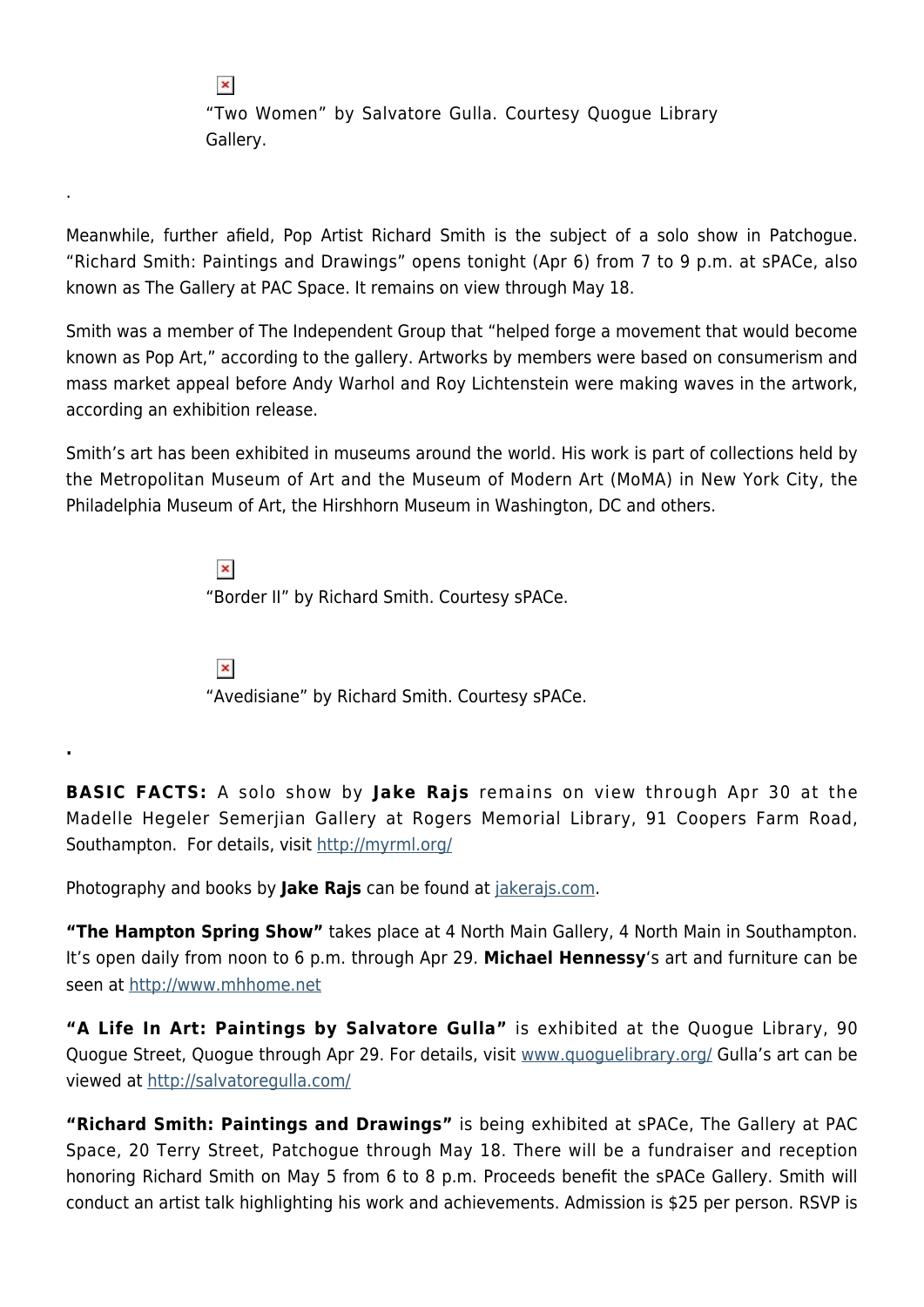"Two Women" by Salvatore Gulla. Courtesy Quogue Library Gallery.

Meanwhile, further afield, Pop Artist Richard Smith is the subject of a solo show in Patchogue. "Richard Smith: Paintings and Drawings" opens tonight (Apr 6) from 7 to 9 p.m. at sPACe, also known as The Gallery at PAC Space. It remains on view through May 18.

Smith was a member of The Independent Group that "helped forge a movement that would become known as Pop Art," according to the gallery. Artworks by members were based on consumerism and mass market appeal before Andy Warhol and Roy Lichtenstein were making waves in the artwork, according an exhibition release.

Smith's art has been exhibited in museums around the world. His work is part of collections held by the Metropolitan Museum of Art and the Museum of Modern Art (MoMA) in New York City, the Philadelphia Museum of Art, the Hirshhorn Museum in Washington, DC and others.

> $\pmb{\times}$ "Border II" by Richard Smith. Courtesy sPACe.

 $\pmb{\times}$ 

"Avedisiane" by Richard Smith. Courtesy sPACe.

**BASIC FACTS:** A solo show by **Jake Rajs** remains on view through Apr 30 at the Madelle Hegeler Semerjian Gallery at Rogers Memorial Library, 91 Coopers Farm Road, Southampton. For details, visit<http://myrml.org/>

Photography and books by **Jake Rajs** can be found at [jakerajs.com.](http://jakerajs.com/)

**"The Hampton Spring Show"** takes place at 4 North Main Gallery, 4 North Main in Southampton. It's open daily from noon to 6 p.m. through Apr 29. **Michael Hennessy**'s art and furniture can be seen at [http://www.mhhome.net](http://www.mhhome.net/)

**"A Life In Art: Paintings by Salvatore Gulla"** is exhibited at the Quogue Library, 90 Quogue Street, Quogue through Apr 29. For details, visit [www.quoguelibrary.org/](http://www.quoguelibrary.org/) Gulla's art can be viewed at<http://salvatoregulla.com/>

**"Richard Smith: Paintings and Drawings"** is being exhibited at sPACe, The Gallery at PAC Space, 20 Terry Street, Patchogue through May 18. There will be a fundraiser and reception honoring Richard Smith on May 5 from 6 to 8 p.m. Proceeds benefit the sPACe Gallery. Smith will conduct an artist talk highlighting his work and achievements. Admission is \$25 per person. RSVP is

 $\pmb{\times}$ 

.

**.**